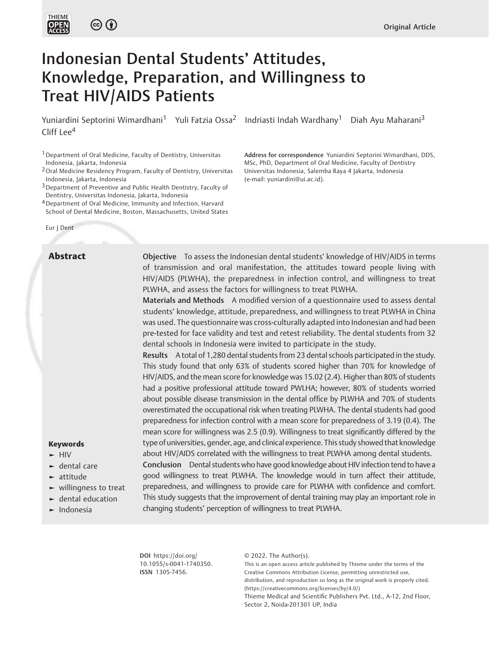



# Indonesian Dental Students' Attitudes, Knowledge, Preparation, and Willingness to Treat HIV/AIDS Patients

Yuniardini Septorini Wimardhani<sup>1</sup> Yuli Fatzia Ossa<sup>2</sup> Indriasti Indah Wardhany<sup>1</sup> Diah Ayu Maharani<sup>3</sup> Cliff Lee<sup>4</sup>

1Department of Oral Medicine, Faculty of Dentistry, Universitas Indonesia, Jakarta, Indonesia

2Oral Medicine Residency Program, Faculty of Dentistry, Universitas Indonesia, Jakarta, Indonesia

3Department of Preventive and Public Health Dentistry, Faculty of Dentistry, Universitas Indonesia, Jakarta, Indonesia

<sup>4</sup> Department of Oral Medicine, Immunity and Infection, Harvard School of Dental Medicine, Boston, Massachusetts, United States

# Eur | Dent

Address for correspondence Yuniardini Septorini Wimardhani, DDS, MSc, PhD, Department of Oral Medicine, Faculty of Dentistry Universitas Indonesia, Salemba Raya 4 Jakarta, Indonesia (e-mail: [yuniardini@ui.ac.id\)](mailto:yuniardini@ui.ac.id).

**Abstract** Objective To assess the Indonesian dental students' knowledge of HIV/AIDS in terms of transmission and oral manifestation, the attitudes toward people living with HIV/AIDS (PLWHA), the preparedness in infection control, and willingness to treat PLWHA, and assess the factors for willingness to treat PLWHA.

> Materials and Methods A modified version of a questionnaire used to assess dental students' knowledge, attitude, preparedness, and willingness to treat PLWHA in China was used. The questionnaire was cross-culturally adapted into Indonesian and had been pre-tested for face validity and test and retest reliability. The dental students from 32 dental schools in Indonesia were invited to participate in the study.

> Results A total of 1,280 dental students from 23 dental schools participated in the study. This study found that only 63% of students scored higher than 70% for knowledge of HIV/AIDS, and the mean score for knowledge was 15.02 (2.4). Higher than 80% of students had a positive professional attitude toward PWLHA; however, 80% of students worried about possible disease transmission in the dental office by PLWHA and 70% of students overestimated the occupational risk when treating PLWHA. The dental students had good preparedness for infection control with a mean score for preparedness of 3.19 (0.4). The mean score for willingness was 2.5 (0.9). Willingness to treat significantly differed by the type of universities, gender, age, and clinical experience. This study showed that knowledge about HIV/AIDS correlated with the willingness to treat PLWHA among dental students. Conclusion Dental students who have good knowledge about HIV infection tend to have a

good willingness to treat PLWHA. The knowledge would in turn affect their attitude, preparedness, and willingness to provide care for PLWHA with confidence and comfort. This study suggests that the improvement of dental training may play an important role in changing students' perception of willingness to treat PLWHA.

DOI [https://doi.org/](https://doi.org/10.1055/s-0041-1740350) [10.1055/s-0041-1740350](https://doi.org/10.1055/s-0041-1740350). ISSN 1305-7456.

© 2022. The Author(s).

This is an open access article published by Thieme under the terms of the Creative Commons Attribution License, permitting unrestricted use, distribution, and reproduction so long as the original work is properly cited. (https://creativecommons.org/licenses/by/4.0/) Thieme Medical and Scientific Publishers Pvt. Ltd., A-12, 2nd Floor, Sector 2, Noida-201301 UP, India

#### Keywords

- ► HIV
- ► dental care
- ► attitude
- ► willingness to treat
- ► dental education
- ► Indonesia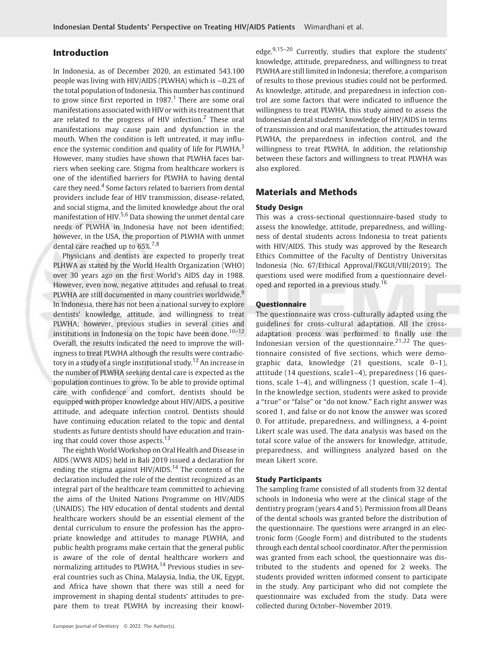# Introduction

In Indonesia, as of December 2020, an estimated 543.100 people was living with HIV/AIDS (PLWHA) which is  $\sim$ 0.2% of the total population of Indonesia. This number has continued to grow since first reported in 1987.<sup>1</sup> There are some oral manifestations associated with HIV or with its treatment that are related to the progress of HIV infection.<sup>2</sup> These oral manifestations may cause pain and dysfunction in the mouth. When the condition is left untreated, it may influence the systemic condition and quality of life for PLWHA.<sup>3</sup> However, many studies have shown that PLWHA faces barriers when seeking care. Stigma from healthcare workers is one of the identified barriers for PLWHA to having dental care they need.<sup>4</sup> Some factors related to barriers from dental providers include fear of HIV transmission, disease-related, and social stigma, and the limited knowledge about the oral manifestation of HIV.<sup>5,6</sup> Data showing the unmet dental care needs of PLWHA in Indonesia have not been identified; however, in the USA, the proportion of PLWHA with unmet dental care reached up to 65%.<sup>7,8</sup>

Physicians and dentists are expected to properly treat PLHWA as stated by the World Health Organization (WHO) over 30 years ago on the first World's AIDS day in 1988. However, even now, negative attitudes and refusal to treat PLWHA are still documented in many countries worldwide.<sup>9</sup> In Indonesia, there has not been a national survey to explore dentists' knowledge, attitude, and willingness to treat PLWHA; however, previous studies in several cities and institutions in Indonesia on the topic have been done.<sup>10-12</sup> Overall, the results indicated the need to improve the willingness to treat PLWHA although the results were contradictory in a study of a single institutional study.<sup>12</sup> An increase in the number of PLWHA seeking dental care is expected as the population continues to grow. To be able to provide optimal care with confidence and comfort, dentists should be equipped with proper knowledge about HIV/AIDS, a positive attitude, and adequate infection control. Dentists should have continuing education related to the topic and dental students as future dentists should have education and training that could cover those aspects. $13$ 

The eighth World Workshop on Oral Health and Disease in AIDS (WW8 AIDS) held in Bali 2019 issued a declaration for ending the stigma against  $HIV/AIDS$ <sup>14</sup> The contents of the declaration included the role of the dentist recognized as an integral part of the healthcare team committed to achieving the aims of the United Nations Programme on HIV/AIDS (UNAIDS). The HIV education of dental students and dental healthcare workers should be an essential element of the dental curriculum to ensure the profession has the appropriate knowledge and attitudes to manage PLWHA, and public health programs make certain that the general public is aware of the role of dental healthcare workers and normalizing attitudes to PLWHA.<sup>14</sup> Previous studies in several countries such as China, Malaysia, India, the UK, Egypt, and Africa have shown that there was still a need for improvement in shaping dental students' attitudes to prepare them to treat PLWHA by increasing their knowledge.<sup>9,15-20</sup> Currently, studies that explore the students' knowledge, attitude, preparedness, and willingness to treat PLWHA are still limited in Indonesia; therefore, a comparison of results to those previous studies could not be performed. As knowledge, attitude, and preparedness in infection control are some factors that were indicated to influence the willingness to treat PLWHA, this study aimed to assess the Indonesian dental students' knowledge of HIV/AIDS in terms of transmission and oral manifestation, the attitudes toward PLWHA, the preparedness in infection control, and the willingness to treat PLWHA. In addition, the relationship between these factors and willingness to treat PLWHA was also explored.

# Materials and Methods

#### Study Design

This was a cross-sectional questionnaire-based study to assess the knowledge, attitude, preparedness, and willingness of dental students across Indonesia to treat patients with HIV/AIDS. This study was approved by the Research Ethics Committee of the Faculty of Dentistry Universitas Indonesia (No. 67/Ethical Approval/FKGUI/VIII/2019). The questions used were modified from a questionnaire developed and reported in a previous study.<sup>16</sup>

# **Questionnaire**

The questionnaire was cross-culturally adapted using the guidelines for cross-cultural adaptation. All the crossadaptation process was performed to finally use the Indonesian version of the questionnaire. $21,22$  The questionnaire consisted of five sections, which were demographic data, knowledge (21 questions, scale 0–1), attitude (14 questions, scale1–4), preparedness (16 questions, scale 1–4), and willingness (1 question, scale 1–4). In the knowledge section, students were asked to provide a "true" or "false" or "do not know." Each right answer was scored 1, and false or do not know the answer was scored 0. For attitude, preparedness, and willingness, a 4-point Likert scale was used. The data analysis was based on the total score value of the answers for knowledge, attitude, preparedness, and willingness analyzed based on the mean Likert score.

#### Study Participants

The sampling frame consisted of all students from 32 dental schools in Indonesia who were at the clinical stage of the dentistry program (years 4 and 5). Permission from all Deans of the dental schools was granted before the distribution of the questionnaire. The questions were arranged in an electronic form (Google Form) and distributed to the students through each dental school coordinator. After the permission was granted from each school, the questionnaire was distributed to the students and opened for 2 weeks. The students provided written informed consent to participate in the study. Any participant who did not complete the questionnaire was excluded from the study. Data were collected during October–November 2019.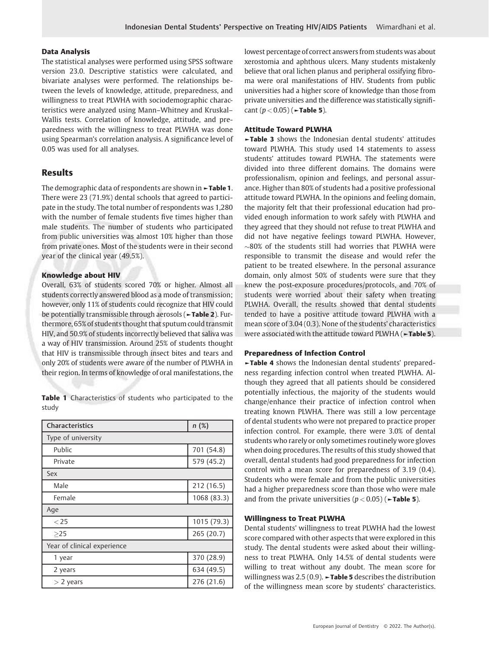# Data Analysis

The statistical analyses were performed using SPSS software version 23.0. Descriptive statistics were calculated, and bivariate analyses were performed. The relationships between the levels of knowledge, attitude, preparedness, and willingness to treat PLWHA with sociodemographic characteristics were analyzed using Mann–Whitney and Kruskal– Wallis tests. Correlation of knowledge, attitude, and preparedness with the willingness to treat PLWHA was done using Spearman's correlation analysis. A significance level of 0.05 was used for all analyses.

# Results

The demographic data of respondents are shown in **-Table 1.** There were 23 (71.9%) dental schools that agreed to participate in the study. The total number of respondents was 1,280 with the number of female students five times higher than male students. The number of students who participated from public universities was almost 10% higher than those from private ones. Most of the students were in their second year of the clinical year (49.5%).

# Knowledge about HIV

Overall, 63% of students scored 70% or higher. Almost all students correctly answered blood as a mode of transmission; however, only 11% of students could recognize that HIV could be potentially transmissible through aerosols (►Table 2). Furthermore, 65% of students thought that sputum could transmit HIV, and 50.9% of students incorrectly believed that saliva was a way of HIV transmission. Around 25% of students thought that HIV is transmissible through insect bites and tears and only 20% of students were aware of the number of PLWHA in their region. In terms of knowledge of oral manifestations, the

Table 1 Characteristics of students who participated to the study

| <b>Characteristics</b>      | n(%)        |
|-----------------------------|-------------|
| Type of university          |             |
| Public                      | 701 (54.8)  |
| Private                     | 579 (45.2)  |
| Sex                         |             |
| Male                        | 212 (16.5)  |
| Female                      | 1068 (83.3) |
| Age                         |             |
| < 25                        | 1015 (79.3) |
| >25                         | 265 (20.7)  |
| Year of clinical experience |             |
| 1 year                      | 370 (28.9)  |
| 2 years                     | 634 (49.5)  |
| $>$ 2 years                 | 276 (21.6)  |

lowest percentage of correct answers from students was about xerostomia and aphthous ulcers. Many students mistakenly believe that oral lichen planus and peripheral ossifying fibroma were oral manifestations of HIV. Students from public universities had a higher score of knowledge than those from private universities and the difference was statistically significant  $(p < 0.05)$  ( $\blacktriangleright$ Table 5).

# Attitude Toward PLWHA

►Table 3 shows the Indonesian dental students' attitudes toward PLWHA. This study used 14 statements to assess students' attitudes toward PLWHA. The statements were divided into three different domains. The domains were professionalism, opinion and feelings, and personal assurance. Higher than 80% of students had a positive professional attitude toward PLWHA. In the opinions and feeling domain, the majority felt that their professional education had provided enough information to work safely with PLWHA and they agreed that they should not refuse to treat PLWHA and did not have negative feelings toward PLWHA. However,  $\sim$ 80% of the students still had worries that PLWHA were responsible to transmit the disease and would refer the patient to be treated elsewhere. In the personal assurance domain, only almost 50% of students were sure that they knew the post-exposure procedures/protocols, and 70% of students were worried about their safety when treating PLWHA. Overall, the results showed that dental students tended to have a positive attitude toward PLWHA with a mean score of 3.04 (0.3). None of the students' characteristics were associated with the attitude toward PLWHA (►Table 5).

# Preparedness of Infection Control

►Table 4 shows the Indonesian dental students' preparedness regarding infection control when treated PLWHA. Although they agreed that all patients should be considered potentially infectious, the majority of the students would change/enhance their practice of infection control when treating known PLWHA. There was still a low percentage of dental students who were not prepared to practice proper infection control. For example, there were 3.0% of dental students who rarely or only sometimes routinely wore gloves when doing procedures. The results of this study showed that overall, dental students had good preparedness for infection control with a mean score for preparedness of 3.19 (0.4). Students who were female and from the public universities had a higher preparedness score than those who were male and from the private universities  $(p < 0.05)$  ( $\blacktriangleright$ Table 5).

# Willingness to Treat PLWHA

Dental students' willingness to treat PLWHA had the lowest score compared with other aspects that were explored in this study. The dental students were asked about their willingness to treat PLWHA. Only 14.5% of dental students were willing to treat without any doubt. The mean score for willingness was  $2.5(0.9)$ .  $\rightarrow$  Table 5 describes the distribution of the willingness mean score by students' characteristics.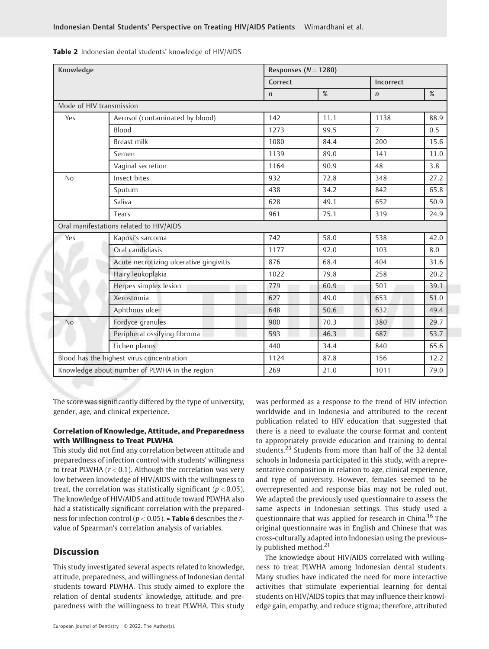Table 2 Indonesian dental students' knowledge of HIV/AIDS

| Knowledge                                     |                                           |         | Responses ( $N = 1280$ ) |                |           |  |
|-----------------------------------------------|-------------------------------------------|---------|--------------------------|----------------|-----------|--|
|                                               |                                           | Correct |                          |                | Incorrect |  |
|                                               | %<br>$\mathsf{n}$                         |         |                          |                | %         |  |
| Mode of HIV transmission                      |                                           |         |                          |                |           |  |
| Yes                                           | Aerosol (contaminated by blood)           | 142     | 11.1                     | 1138           | 88.9      |  |
|                                               | Blood                                     | 1273    | 99.5                     | $\overline{7}$ | 0.5       |  |
|                                               | <b>Breast milk</b>                        | 1080    | 84.4                     | 200            | 15.6      |  |
|                                               | Semen                                     | 1139    | 89.0                     | 141            | 11.0      |  |
|                                               | Vaginal secretion                         | 1164    | 90.9                     | 48             | 3.8       |  |
| No                                            | Insect bites                              | 932     | 72.8                     | 348            | 27.2      |  |
|                                               | Sputum                                    | 438     | 34.2                     | 842            | 65.8      |  |
|                                               | Saliva                                    | 628     | 49.1                     | 652            | 50.9      |  |
|                                               | Tears                                     | 961     | 75.1                     | 319            | 24.9      |  |
|                                               | Oral manifestations related to HIV/AIDS   |         |                          |                |           |  |
| Yes                                           | Kaposi's sarcoma                          | 742     | 58.0                     | 538            | 42.0      |  |
|                                               | Oral candidiasis                          | 1177    | 92.0                     | 103            | 8.0       |  |
|                                               | Acute necrotizing ulcerative gingivitis   | 876     | 68.4                     | 404            | 31.6      |  |
|                                               | Hairy leukoplakia                         | 1022    | 79.8                     | 258            | 20.2      |  |
|                                               | Herpes simplex lesion                     | 779     | 60.9                     | 501            | 39.1      |  |
|                                               | Xerostomia                                | 627     | 49.0                     | 653            | 51.0      |  |
|                                               | Aphthous ulcer                            | 648     | 50.6                     | 632            | 49.4      |  |
| <b>No</b>                                     | Fordyce granules                          | 900     | 70.3                     | 380            | 29.7      |  |
|                                               | Peripheral ossifying fibroma              | 593     | 46.3                     | 687            | 53.7      |  |
|                                               | Lichen planus                             | 440     | 34.4                     | 840            | 65.6      |  |
|                                               | Blood has the highest virus concentration | 1124    | 87.8                     | 156            | 12.2      |  |
| Knowledge about number of PLWHA in the region |                                           | 269     | 21.0                     | 1011           | 79.0      |  |

The score was significantly differed by the type of university, gender, age, and clinical experience.

# Correlation of Knowledge, Attitude, and Preparedness with Willingness to Treat PLWHA

This study did not find any correlation between attitude and preparedness of infection control with students' willingness to treat PLWHA ( $r < 0.1$ ). Although the correlation was very low between knowledge of HIV/AIDS with the willingness to treat, the correlation was statistically significant ( $p < 0.05$ ). The knowledge of HIV/AIDS and attitude toward PLWHA also had a statistically significant correlation with the preparedness for infection control ( $p < 0.05$ ).  $\blacktriangleright$  Table 6 describes the rvalue of Spearman's correlation analysis of variables.

# **Discussion**

This study investigated several aspects related to knowledge, attitude, preparedness, and willingness of Indonesian dental students toward PLWHA. This study aimed to explore the relation of dental students' knowledge, attitude, and preparedness with the willingness to treat PLWHA. This study worldwide and in Indonesia and attributed to the recent publication related to HIV education that suggested that there is a need to evaluate the course format and content to appropriately provide education and training to dental students.<sup>23</sup> Students from more than half of the 32 dental schools in Indonesia participated in this study, with a representative composition in relation to age, clinical experience, and type of university. However, females seemed to be overrepresented and response bias may not be ruled out. We adapted the previously used questionnaire to assess the same aspects in Indonesian settings. This study used a questionnaire that was applied for research in China.<sup>16</sup> The original questionnaire was in English and Chinese that was cross-culturally adapted into Indonesian using the previously published method. $21$ 

was performed as a response to the trend of HIV infection

The knowledge about HIV/AIDS correlated with willingness to treat PLWHA among Indonesian dental students. Many studies have indicated the need for more interactive activities that stimulate experiential learning for dental students on HIV/AIDS topics that may influence their knowledge gain, empathy, and reduce stigma; therefore, attributed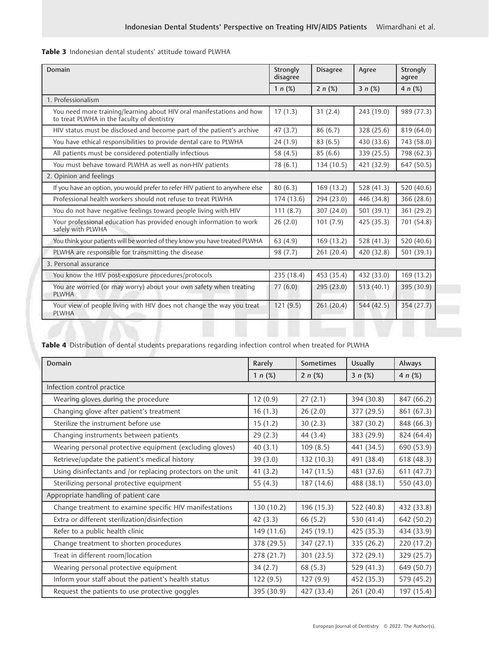| Table 3 Indonesian dental students' attitude toward PLWHA |
|-----------------------------------------------------------|
|-----------------------------------------------------------|

| Domain                                                                                                              | Strongly<br>disagree | <b>Disagree</b> | Agree      | Strongly<br>agree |
|---------------------------------------------------------------------------------------------------------------------|----------------------|-----------------|------------|-------------------|
|                                                                                                                     | 1 $n$ (%)            | $2 n$ (%)       | $3 n$ (%)  | 4 $n$ (%)         |
| 1. Professionalism                                                                                                  |                      |                 |            |                   |
| You need more training/learning about HIV oral manifestations and how<br>to treat PLWHA in the faculty of dentistry | 17(1.3)              | 31(2.4)         | 243 (19.0) | 989 (77.3)        |
| HIV status must be disclosed and become part of the patient's archive                                               | 47(3.7)              | 86 (6.7)        | 328 (25.6) | 819 (64.0)        |
| You have ethical responsibilities to provide dental care to PLWHA                                                   | 24(1.9)              | 83(6.5)         | 430 (33.6) | 743 (58.0)        |
| All patients must be considered potentially infectious                                                              | 58 (4.5)             | 85(6.6)         | 339 (25.5) | 798 (62.3)        |
| You must behave toward PLWHA as well as non-HIV patients                                                            | 78 (6.1)             | 134 (10.5)      | 421 (32.9) | 647 (50.5)        |
| 2. Opinion and feelings                                                                                             |                      |                 |            |                   |
| If you have an option, you would prefer to refer HIV patient to anywhere else                                       | 80(6.3)              | 169 (13.2)      | 528 (41.3) | 520 (40.6)        |
| Professional health workers should not refuse to treat PLWHA                                                        | 174 (13.6)           | 294 (23.0)      | 446 (34.8) | 366 (28.6)        |
| You do not have negative feelings toward people living with HIV                                                     | 111(8.7)             | 307 (24.0)      | 501 (39.1) | 361 (29.2)        |
| Your professional education has provided enough information to work<br>safely with PLWHA                            | 26(2.0)              | 101(7.9)        | 425 (35.3) | 701 (54.8)        |
| You think your patients will be worried of they know you have treated PLWHA                                         | 63 (4.9)             | 169 (13.2)      | 528 (41.3) | 520 (40.6)        |
| PLWHA are responsible for transmitting the disease                                                                  | 98 (7.7)             | 261 (20.4)      | 420 (32.8) | 501 (39.1)        |
| 3. Personal assurance                                                                                               |                      |                 |            |                   |
| You know the HIV post-exposure procedures/protocols                                                                 | 235 (18.4)           | 453 (35.4)      | 432 (33.0) | 169 (13.2)        |
| You are worried (or may worry) about your own safety when treating<br><b>PLWHA</b>                                  | 77(6.0)              | 295(23.0)       | 513(40.1)  | 395 (30.9)        |
| Your view of people living with HIV does not change the way you treat<br><b>PLWHA</b>                               | 121(9.5)             | 261(20.4)       | 544 (42.5) | 354 (27.7)        |

Table 4 Distribution of dental students preparations regarding infection control when treated for PLWHA

| <b>Domain</b>                                                | Rarely     | <b>Sometimes</b> | <b>Usually</b> | Always     |
|--------------------------------------------------------------|------------|------------------|----------------|------------|
|                                                              | 1 $n$ (%)  | $2 n (\%)$       | $3 n$ (%)      | 4 $n$ (%)  |
| Infection control practice                                   |            |                  |                |            |
| Wearing gloves during the procedure                          | 12(0.9)    | 27(2.1)          | 394 (30.8)     | 847 (66.2) |
| Changing glove after patient's treatment                     | 16(1.3)    | 26(2.0)          | 377 (29.5)     | 861 (67.3) |
| Sterilize the instrument before use                          | 15(1.2)    | 30(2.3)          | 387 (30.2)     | 848 (66.3) |
| Changing instruments between patients                        | 29(2.3)    | 44(3.4)          | 383 (29.9)     | 824 (64.4) |
| Wearing personal protective equipment (excluding gloves)     | 40(3.1)    | 109(8.5)         | 441 (34.5)     | 690 (53.9) |
| Retrieve/update the patient's medical history                | 39(3.0)    | 132 (10.3)       | 491 (38.4)     | 618 (48.3) |
| Using disinfectants and /or replacing protectors on the unit | 41(3.2)    | 147 (11.5)       | 481 (37.6)     | 611 (47.7) |
| Sterilizing personal protective equipment                    | 55 $(4.3)$ | 187 (14.6)       | 488 (38.1)     | 550 (43.0) |
| Appropriate handling of patient care                         |            |                  |                |            |
| Change treatment to examine specific HIV manifestations      | 130 (10.2) | 196 (15.3)       | 522 (40.8)     | 432 (33.8) |
| Extra or different sterilization/disinfection                | 42(3.3)    | 66(5.2)          | 530 (41.4)     | 642 (50.2) |
| Refer to a public health clinic                              | 149 (11.6) | 245 (19.1)       | 425 (35.3)     | 434 (33.9) |
| Change treatment to shorten procedures                       | 378 (29.5) | 347 (27.1)       | 335 (26.2)     | 220 (17.2) |
| Treat in different room/location                             | 278 (21.7) | 301 (23.5)       | 372 (29.1)     | 329 (25.7) |
| Wearing personal protective equipment                        | 34(2.7)    | 68(5.3)          | 529 (41.3)     | 649 (50.7) |
| Inform your staff about the patient's health status          | 122(9.5)   | 127(9.9)         | 452 (35.3)     | 579 (45.2) |
| Request the patients to use protective goggles               | 395 (30.9) | 427 (33.4)       | 261 (20.4)     | 197 (15.4) |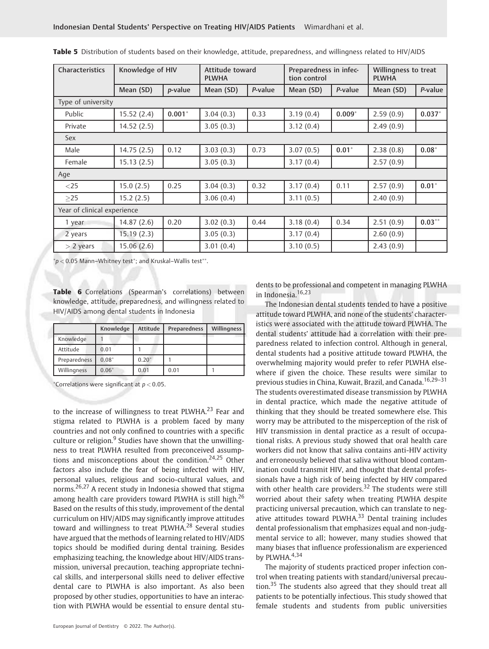| Characteristics             | Knowledge of HIV |                 | Attitude toward<br><b>PLWHA</b> |         | Preparedness in infec-<br>tion control |          | Willingness to treat<br><b>PLWHA</b> |           |
|-----------------------------|------------------|-----------------|---------------------------------|---------|----------------------------------------|----------|--------------------------------------|-----------|
|                             | Mean (SD)        | <i>p</i> -value | Mean (SD)                       | P-value | Mean (SD)                              | P-value  | Mean (SD)                            | P-value   |
| Type of university          |                  |                 |                                 |         |                                        |          |                                      |           |
| Public                      | 15.52(2.4)       | $0.001*$        | 3.04(0.3)                       | 0.33    | 3.19(0.4)                              | $0.009*$ | 2.59(0.9)                            | $0.037*$  |
| Private                     | 14.52(2.5)       |                 | 3.05(0.3)                       |         | 3.12(0.4)                              |          | 2.49(0.9)                            |           |
| Sex                         |                  |                 |                                 |         |                                        |          |                                      |           |
| Male                        | 14.75(2.5)       | 0.12            | 3.03(0.3)                       | 0.73    | 3.07(0.5)                              | $0.01*$  | 2.38(0.8)                            | $0.08*$   |
| Female                      | 15.13(2.5)       |                 | 3.05(0.3)                       |         | 3.17(0.4)                              |          | 2.57(0.9)                            |           |
| Age                         |                  |                 |                                 |         |                                        |          |                                      |           |
| $<$ 25                      | 15.0(2.5)        | 0.25            | 3.04(0.3)                       | 0.32    | 3.17(0.4)                              | 0.11     | 2.57(0.9)                            | $0.01*$   |
| $\geq$ 25                   | 15.2(2.5)        |                 | 3.06(0.4)                       |         | 3.11(0.5)                              |          | 2.40(0.9)                            |           |
| Year of clinical experience |                  |                 |                                 |         |                                        |          |                                      |           |
| 1 year                      | 14.87(2.6)       | 0.20            | 3.02(0.3)                       | 0.44    | 3.18(0.4)                              | 0.34     | 2.51(0.9)                            | $0.03***$ |
| 2 years                     | 15.19 (2.3)      |                 | 3.05(0.3)                       |         | 3.17(0.4)                              |          | 2.60(0.9)                            |           |
| $>$ 2 years                 | 15.06 (2.6)      |                 | 3.01(0.4)                       |         | 3.10(0.5)                              |          | 2.43(0.9)                            |           |

| Table 5 Distribution of students based on their knowledge, attitude, preparedness, and willingness related to HIV/AIDS |  |  |
|------------------------------------------------------------------------------------------------------------------------|--|--|
|------------------------------------------------------------------------------------------------------------------------|--|--|

 $\sp{\ast}_P < 0.05$  Mann-Whitney test $\sp{\ast}$ ; and Kruskal-Wallis test $\sp{\ast} \sp{\ast}$ .

Table 6 Correlations (Spearman's correlations) between knowledge, attitude, preparedness, and willingness related to HIV/AIDS among dental students in Indonesia

|              | Knowledge | Attitude | <b>Preparedness</b> | Willingness |
|--------------|-----------|----------|---------------------|-------------|
| Knowledge    |           |          |                     |             |
| Attitude     | 0.01      |          |                     |             |
| Preparedness | $0.08*$   | $0.20*$  |                     |             |
| Willingness  | $0.06*$   | 0.01     | 0.01                |             |

 $^*$ Correlations were significant at  $p < 0.05$ .

to the increase of willingness to treat PLWHA.<sup>23</sup> Fear and stigma related to PLWHA is a problem faced by many countries and not only confined to countries with a specific culture or religion. $9$  Studies have shown that the unwillingness to treat PLWHA resulted from preconceived assumptions and misconceptions about the condition.<sup>24,25</sup> Other factors also include the fear of being infected with HIV, personal values, religious and socio-cultural values, and norms.26,27 A recent study in Indonesia showed that stigma among health care providers toward PLWHA is still high.<sup>26</sup> Based on the results of this study, improvement of the dental curriculum on HIV/AIDS may significantly improve attitudes toward and willingness to treat PLWHA.<sup>28</sup> Several studies have argued that the methods of learning related to HIV/AIDS topics should be modified during dental training. Besides emphasizing teaching, the knowledge about HIV/AIDS transmission, universal precaution, teaching appropriate technical skills, and interpersonal skills need to deliver effective dental care to PLWHA is also important. As also been proposed by other studies, opportunities to have an interaction with PLWHA would be essential to ensure dental students to be professional and competent in managing PLWHA in Indonesia.16,23

The Indonesian dental students tended to have a positive attitude toward PLWHA, and none of the students' characteristics were associated with the attitude toward PLWHA. The dental students' attitude had a correlation with their preparedness related to infection control. Although in general, dental students had a positive attitude toward PLWHA, the overwhelming majority would prefer to refer PLWHA elsewhere if given the choice. These results were similar to previous studies in China, Kuwait, Brazil, and Canada.<sup>16,29-31</sup> The students overestimated disease transmission by PLWHA in dental practice, which made the negative attitude of thinking that they should be treated somewhere else. This worry may be attributed to the misperception of the risk of HIV transmission in dental practice as a result of occupational risks. A previous study showed that oral health care workers did not know that saliva contains anti-HIV activity and erroneously believed that saliva without blood contamination could transmit HIV, and thought that dental professionals have a high risk of being infected by HIV compared with other health care providers.<sup>32</sup> The students were still worried about their safety when treating PLWHA despite practicing universal precaution, which can translate to negative attitudes toward PLWHA.<sup>33</sup> Dental training includes dental professionalism that emphasizes equal and non-judgmental service to all; however, many studies showed that many biases that influence professionalism are experienced by PLWHA. $4,34$ 

The majority of students practiced proper infection control when treating patients with standard/universal precaution.<sup>35</sup> The students also agreed that they should treat all patients to be potentially infectious. This study showed that female students and students from public universities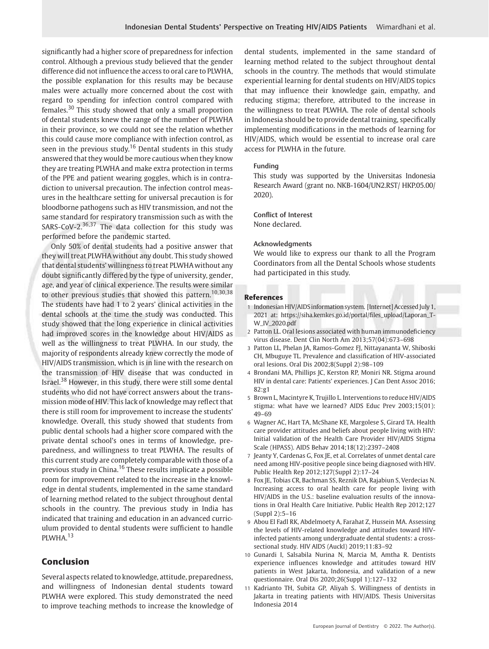significantly had a higher score of preparedness for infection control. Although a previous study believed that the gender difference did not influence the access to oral care to PLWHA, the possible explanation for this results may be because males were actually more concerned about the cost with regard to spending for infection control compared with females.<sup>30</sup> This study showed that only a small proportion of dental students knew the range of the number of PLWHA in their province, so we could not see the relation whether this could cause more compliance with infection control, as seen in the previous study.<sup>16</sup> Dental students in this study answered that they would be more cautious when they know they are treating PLWHA and make extra protection in terms of the PPE and patient wearing goggles, which is in contradiction to universal precaution. The infection control measures in the healthcare setting for universal precaution is for bloodborne pathogens such as HIV transmission, and not the same standard for respiratory transmission such as with the SARS-CoV-2. $36,37$  The data collection for this study was performed before the pandemic started.

Only 50% of dental students had a positive answer that they will treat PLWHA without any doubt. This study showed that dental students' willingness to treat PLWHA without any doubt significantly differed by the type of university, gender, age, and year of clinical experience. The results were similar to other previous studies that showed this pattern.<sup>10,30,38</sup> The students have had 1 to 2 years' clinical activities in the dental schools at the time the study was conducted. This study showed that the long experience in clinical activities had improved scores in the knowledge about HIV/AIDS as well as the willingness to treat PLWHA. In our study, the majority of respondents already knew correctly the mode of HIV/AIDS transmission, which is in line with the research on the transmission of HIV disease that was conducted in Israel.<sup>38</sup> However, in this study, there were still some dental students who did not have correct answers about the transmission mode of HIV. This lack of knowledge may reflect that there is still room for improvement to increase the students' knowledge. Overall, this study showed that students from public dental schools had a higher score compared with the private dental school's ones in terms of knowledge, preparedness, and willingness to treat PLWHA. The results of this current study are completely comparable with those of a previous study in China.<sup>16</sup> These results implicate a possible room for improvement related to the increase in the knowledge in dental students, implemented in the same standard of learning method related to the subject throughout dental schools in the country. The previous study in India has indicated that training and education in an advanced curriculum provided to dental students were sufficient to handle PLWHA.<sup>13</sup>

# Conclusion

Several aspects related to knowledge, attitude, preparedness, and willingness of Indonesian dental students toward PLWHA were explored. This study demonstrated the need to improve teaching methods to increase the knowledge of dental students, implemented in the same standard of learning method related to the subject throughout dental schools in the country. The methods that would stimulate experiential learning for dental students on HIV/AIDS topics that may influence their knowledge gain, empathy, and reducing stigma; therefore, attributed to the increase in the willingness to treat PLWHA. The role of dental schools in Indonesia should be to provide dental training, specifically implementing modifications in the methods of learning for HIV/AIDS, which would be essential to increase oral care access for PLWHA in the future.

#### Funding

This study was supported by the Universitas Indonesia Research Award (grant no. NKB-1604/UN2.RST/ HKP.05.00/ 2020).

# Conflict of Interest

None declared.

#### Acknowledgments

We would like to express our thank to all the Program Coordinators from all the Dental Schools whose students had participated in this study.

#### **References**

- 1 Indonesian HIV/AIDSinformation system. [Internet] Accessed July 1, 2021 at: [https://siha.kemkes.go.id/portal/](https://siha.kemkes.go.id/portal/files_upload/Laporan_TW_IV_2020.pdf)files\_upload/Laporan\_T-[W\\_IV\\_2020.pdf](https://siha.kemkes.go.id/portal/files_upload/Laporan_TW_IV_2020.pdf)
- 2 Patton LL. Oral lesions associated with human immunodeficiency virus disease. Dent Clin North Am 2013;57(04):673–698
- 3 Patton LL, Phelan JA, Ramos-Gomez FJ, Nittayananta W, Shiboski CH, Mbuguye TL. Prevalence and classification of HIV-associated oral lesions. Oral Dis 2002;8(Suppl 2):98–109
- 4 Brondani MA, Phillips JC, Kerston RP, Moniri NR. Stigma around HIV in dental care: Patients' experiences. J Can Dent Assoc 2016; 82:g1
- 5 Brown L, Macintyre K, Trujillo L. Interventions to reduce HIV/AIDS stigma: what have we learned? AIDS Educ Prev 2003;15(01): 49–69
- 6 Wagner AC, Hart TA, McShane KE, Margolese S, Girard TA. Health care provider attitudes and beliefs about people living with HIV: Initial validation of the Health Care Provider HIV/AIDS Stigma Scale (HPASS). AIDS Behav 2014;18(12):2397–2408
- 7 Jeanty Y, Cardenas G, Fox JE, et al. Correlates of unmet dental care need among HIV-positive people since being diagnosed with HIV. Public Health Rep 2012;127(Suppl 2):17–24
- 8 Fox JE, Tobias CR, Bachman SS, Reznik DA, Rajabiun S, Verdecias N. Increasing access to oral health care for people living with HIV/AIDS in the U.S.: baseline evaluation results of the innovations in Oral Health Care Initiative. Public Health Rep 2012;127 (Suppl 2):5–16
- 9 Abou El Fadl RK, Abdelmoety A, Farahat Z, Hussein MA. Assessing the levels of HIV-related knowledge and attitudes toward HIVinfected patients among undergraduate dental students: a crosssectional study. HIV AIDS (Auckl) 2019;11:83–92
- 10 Gunardi I, Salsabila Nurina N, Marcia M, Amtha R. Dentists experience influences knowledge and attitudes toward HIV patients in West Jakarta, Indonesia, and validation of a new questionnaire. Oral Dis 2020;26(Suppl 1):127–132
- 11 Kadrianto TH, Subita GP, Aliyah S. Willingness of dentists in Jakarta in treating patients with HIV/AIDS. Thesis Universitas Indonesia 2014